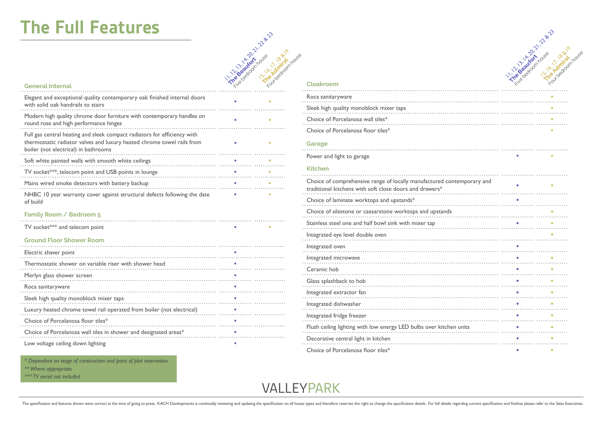# **The Full Features**



#### **General Internal**

| Elegant and exceptional quality contemporary oak finished internal doors<br>with solid oak handrails to stairs                                                                             |  |
|--------------------------------------------------------------------------------------------------------------------------------------------------------------------------------------------|--|
| Modern high quality chrome door furniture with contemporary handles on<br>round rose and high performance hinges                                                                           |  |
| Full gas central heating and sleek compact radiators for efficiency with<br>thermostatic radiator valves and luxury heated chrome towel rails from<br>boiler (not electrical) in bathrooms |  |
| Soft white painted walls with smooth white ceilings                                                                                                                                        |  |
| TV socket***, telecom point and USB points in lounge                                                                                                                                       |  |
| Mains wired smoke detectors with battery backup                                                                                                                                            |  |
| NHBC 10 year warranty cover against structural defects following the date<br>of build                                                                                                      |  |

#### **Family Room / Bedroom 5**

| TV socket*** and telecom point                                        |  |
|-----------------------------------------------------------------------|--|
| <b>Ground Floor Shower Room</b>                                       |  |
| Electric shaver point                                                 |  |
| Thermostatic shower on variable riser with shower head                |  |
| Merlyn glass shower screen                                            |  |
| Roca sanitaryware                                                     |  |
| Sleek high quality monoblock mixer taps                               |  |
| Luxury heated chrome towel rail operated from boiler (not electrical) |  |
| Choice of Porcelanosa floor tiles*                                    |  |
| Choice of Porcelanosa wall tiles in shower and designated areas*      |  |
| Low voltage ceiling down lighting                                     |  |

|                                                                                                                                   | . 21-2 Palacon Read<br>Fried Marian Ration |
|-----------------------------------------------------------------------------------------------------------------------------------|--------------------------------------------|
|                                                                                                                                   |                                            |
| Cloakroom                                                                                                                         |                                            |
| Roca sanitaryware                                                                                                                 |                                            |
| Sleek high quality monoblock mixer taps                                                                                           |                                            |
| Choice of Porcelanosa wall tiles*                                                                                                 |                                            |
| Choice of Porcelanosa floor tiles*                                                                                                |                                            |
|                                                                                                                                   |                                            |
| Garage                                                                                                                            |                                            |
| Power and light to garage                                                                                                         |                                            |
| <b>Kitchen</b>                                                                                                                    |                                            |
| Choice of comprehensive range of locally manufactured contemporary and<br>traditional kitchens with soft close doors and drawers* |                                            |
| Choice of laminate worktops and upstands*                                                                                         |                                            |
| Choice of silestone or caesarstone worktops and upstands                                                                          |                                            |
| Stainless steel one and half bowl sink with mixer tap                                                                             |                                            |
|                                                                                                                                   |                                            |
| Integrated eye level double oven                                                                                                  |                                            |
| Integrated oven                                                                                                                   |                                            |
| Integrated microwave                                                                                                              |                                            |
| Ceramic hob                                                                                                                       |                                            |
| Glass splashback to hob                                                                                                           |                                            |
| Integrated extractor fan                                                                                                          |                                            |
| Integrated dishwasher                                                                                                             |                                            |
|                                                                                                                                   |                                            |
| Integrated fridge freezer                                                                                                         |                                            |
| Flush ceiling lighting with low energy LED bulbs over kitchen units                                                               |                                            |
| Decorative central light in kitchen                                                                                               |                                            |
| Choice of Porcelanosa floor tiles*                                                                                                | ٠                                          |

*\* Dependent on stage of construction and point of plot reservation \*\* Where appropriate \*\*\* TV aerial not included*

VALLEYPARK

The specification and features shown were correct at the time of going to press. KACH Developments is continually reviewing and updating the specification on all house types and therefore reserves the right to change the s